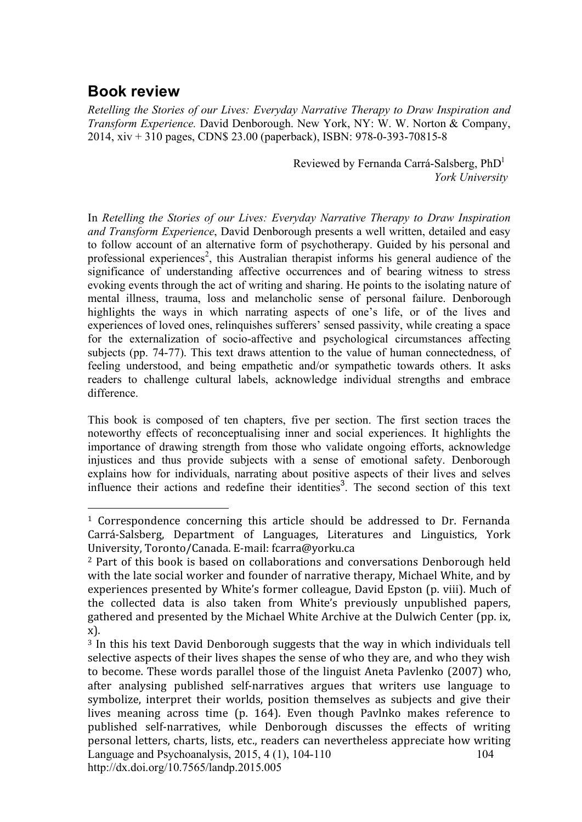## **Book review**

 $\overline{a}$ 

*Retelling the Stories of our Lives: Everyday Narrative Therapy to Draw Inspiration and Transform Experience.* David Denborough. New York, NY: W. W. Norton & Company, 2014, xiv + 310 pages, CDN\$ 23.00 (paperback), ISBN: 978-0-393-70815-8

> Reviewed by Fernanda Carrá-Salsberg, PhD<sup>1</sup>  *York University*

In *Retelling the Stories of our Lives: Everyday Narrative Therapy to Draw Inspiration and Transform Experience*, David Denborough presents a well written, detailed and easy to follow account of an alternative form of psychotherapy. Guided by his personal and professional experiences<sup>2</sup>, this Australian therapist informs his general audience of the significance of understanding affective occurrences and of bearing witness to stress evoking events through the act of writing and sharing. He points to the isolating nature of mental illness, trauma, loss and melancholic sense of personal failure. Denborough highlights the ways in which narrating aspects of one's life, or of the lives and experiences of loved ones, relinquishes sufferers' sensed passivity, while creating a space for the externalization of socio-affective and psychological circumstances affecting subjects (pp. 74-77). This text draws attention to the value of human connectedness, of feeling understood, and being empathetic and/or sympathetic towards others. It asks readers to challenge cultural labels, acknowledge individual strengths and embrace difference.

This book is composed of ten chapters, five per section. The first section traces the noteworthy effects of reconceptualising inner and social experiences. It highlights the importance of drawing strength from those who validate ongoing efforts, acknowledge injustices and thus provide subjects with a sense of emotional safety. Denborough explains how for individuals, narrating about positive aspects of their lives and selves influence their actions and redefine their identities<sup>3</sup>. The second section of this text

<sup>&</sup>lt;sup>1</sup> Correspondence concerning this article should be addressed to Dr. Fernanda Carrá‐Salsberg, Department
 of
 Languages,
 Literatures
 and
 Linguistics,
 York University,
Toronto/Canada.
E‐mail:
fcarra@yorku.ca

<sup>&</sup>lt;sup>2</sup> Part of this book is based on collaborations and conversations Denborough held with the late social worker and founder of narrative therapy. Michael White, and by experiences presented by White's former colleague, David Epston (p. viii). Much of the
 collected
 data
 is
 also
 taken
 from
 White's
 previously
 unpublished
 papers, gathered
and
presented
by
the
Michael
White
Archive
at
the
Dulwich
Center
(pp.
ix, x).

Language and Psychoanalysis, 2015, 4 (1), 104-110 http://dx.doi.org/10.7565/landp.2015.005 104 <sup>3</sup> In this his text David Denborough suggests that the way in which individuals tell selective aspects of their lives shapes the sense of who they are, and who they wish to
become.
These
words
parallel
 those
of
 the
linguist
Aneta
Pavlenko
 (2007)
who, after analysing published self-narratives argues that writers use language to symbolize, interpret their worlds, position themselves as subjects and give their lives meaning across time (p. 164). Even though Pavlnko makes reference to published self-narratives, while Denborough discusses the effects of writing personal
letters,
charts,
lists,
etc.,
readers
can
nevertheless
appreciate
how
writing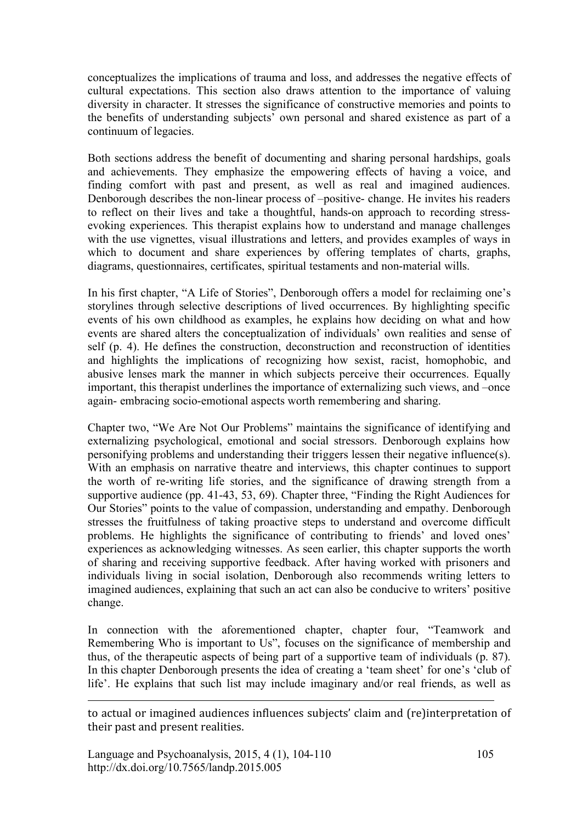conceptualizes the implications of trauma and loss, and addresses the negative effects of cultural expectations. This section also draws attention to the importance of valuing diversity in character. It stresses the significance of constructive memories and points to the benefits of understanding subjects' own personal and shared existence as part of a continuum of legacies.

Both sections address the benefit of documenting and sharing personal hardships, goals and achievements. They emphasize the empowering effects of having a voice, and finding comfort with past and present, as well as real and imagined audiences. Denborough describes the non-linear process of –positive- change. He invites his readers to reflect on their lives and take a thoughtful, hands-on approach to recording stressevoking experiences. This therapist explains how to understand and manage challenges with the use vignettes, visual illustrations and letters, and provides examples of ways in which to document and share experiences by offering templates of charts, graphs, diagrams, questionnaires, certificates, spiritual testaments and non-material wills.

In his first chapter, "A Life of Stories", Denborough offers a model for reclaiming one's storylines through selective descriptions of lived occurrences. By highlighting specific events of his own childhood as examples, he explains how deciding on what and how events are shared alters the conceptualization of individuals' own realities and sense of self (p. 4). He defines the construction, deconstruction and reconstruction of identities and highlights the implications of recognizing how sexist, racist, homophobic, and abusive lenses mark the manner in which subjects perceive their occurrences. Equally important, this therapist underlines the importance of externalizing such views, and –once again- embracing socio-emotional aspects worth remembering and sharing.

Chapter two, "We Are Not Our Problems" maintains the significance of identifying and externalizing psychological, emotional and social stressors. Denborough explains how personifying problems and understanding their triggers lessen their negative influence(s). With an emphasis on narrative theatre and interviews, this chapter continues to support the worth of re-writing life stories, and the significance of drawing strength from a supportive audience (pp. 41-43, 53, 69). Chapter three, "Finding the Right Audiences for Our Stories" points to the value of compassion, understanding and empathy. Denborough stresses the fruitfulness of taking proactive steps to understand and overcome difficult problems. He highlights the significance of contributing to friends' and loved ones' experiences as acknowledging witnesses. As seen earlier, this chapter supports the worth of sharing and receiving supportive feedback. After having worked with prisoners and individuals living in social isolation, Denborough also recommends writing letters to imagined audiences, explaining that such an act can also be conducive to writers' positive change.

In connection with the aforementioned chapter, chapter four, "Teamwork and Remembering Who is important to Us", focuses on the significance of membership and thus, of the therapeutic aspects of being part of a supportive team of individuals (p. 87). In this chapter Denborough presents the idea of creating a 'team sheet' for one's 'club of life'. He explains that such list may include imaginary and/or real friends, as well as

to actual or imagined audiences influences subjects' claim and (re)interpretation of their
past
and
present
realities.

Language and Psychoanalysis, 2015, 4 (1), 104-110 http://dx.doi.org/10.7565/landp.2015.005

 $\overline{a}$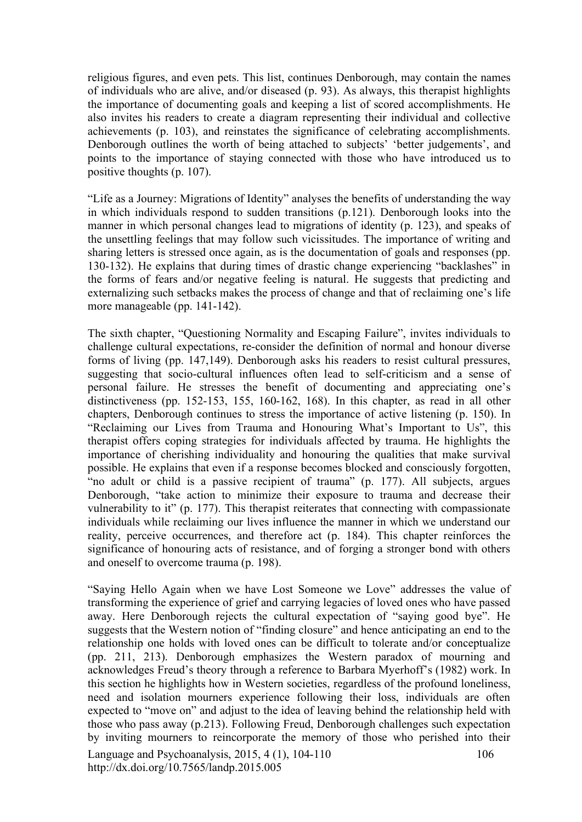religious figures, and even pets. This list, continues Denborough, may contain the names of individuals who are alive, and/or diseased (p. 93). As always, this therapist highlights the importance of documenting goals and keeping a list of scored accomplishments. He also invites his readers to create a diagram representing their individual and collective achievements (p. 103), and reinstates the significance of celebrating accomplishments. Denborough outlines the worth of being attached to subjects' 'better judgements', and points to the importance of staying connected with those who have introduced us to positive thoughts (p. 107).

"Life as a Journey: Migrations of Identity" analyses the benefits of understanding the way in which individuals respond to sudden transitions (p.121). Denborough looks into the manner in which personal changes lead to migrations of identity (p. 123), and speaks of the unsettling feelings that may follow such vicissitudes. The importance of writing and sharing letters is stressed once again, as is the documentation of goals and responses (pp. 130-132). He explains that during times of drastic change experiencing "backlashes" in the forms of fears and/or negative feeling is natural. He suggests that predicting and externalizing such setbacks makes the process of change and that of reclaiming one's life more manageable (pp. 141-142).

The sixth chapter, "Questioning Normality and Escaping Failure", invites individuals to challenge cultural expectations, re-consider the definition of normal and honour diverse forms of living (pp. 147,149). Denborough asks his readers to resist cultural pressures, suggesting that socio-cultural influences often lead to self-criticism and a sense of personal failure. He stresses the benefit of documenting and appreciating one's distinctiveness (pp. 152-153, 155, 160-162, 168). In this chapter, as read in all other chapters, Denborough continues to stress the importance of active listening (p. 150). In "Reclaiming our Lives from Trauma and Honouring What's Important to Us", this therapist offers coping strategies for individuals affected by trauma. He highlights the importance of cherishing individuality and honouring the qualities that make survival possible. He explains that even if a response becomes blocked and consciously forgotten, "no adult or child is a passive recipient of trauma" (p. 177). All subjects, argues Denborough, "take action to minimize their exposure to trauma and decrease their vulnerability to it" (p. 177). This therapist reiterates that connecting with compassionate individuals while reclaiming our lives influence the manner in which we understand our reality, perceive occurrences, and therefore act (p. 184). This chapter reinforces the significance of honouring acts of resistance, and of forging a stronger bond with others and oneself to overcome trauma (p. 198).

Language and Psychoanalysis, 2015, 4 (1), 104-110 http://dx.doi.org/10.7565/landp.2015.005 106 "Saying Hello Again when we have Lost Someone we Love" addresses the value of transforming the experience of grief and carrying legacies of loved ones who have passed away. Here Denborough rejects the cultural expectation of "saying good bye". He suggests that the Western notion of "finding closure" and hence anticipating an end to the relationship one holds with loved ones can be difficult to tolerate and/or conceptualize (pp. 211, 213). Denborough emphasizes the Western paradox of mourning and acknowledges Freud's theory through a reference to Barbara Myerhoff's (1982) work. In this section he highlights how in Western societies, regardless of the profound loneliness, need and isolation mourners experience following their loss, individuals are often expected to "move on" and adjust to the idea of leaving behind the relationship held with those who pass away (p.213). Following Freud, Denborough challenges such expectation by inviting mourners to reincorporate the memory of those who perished into their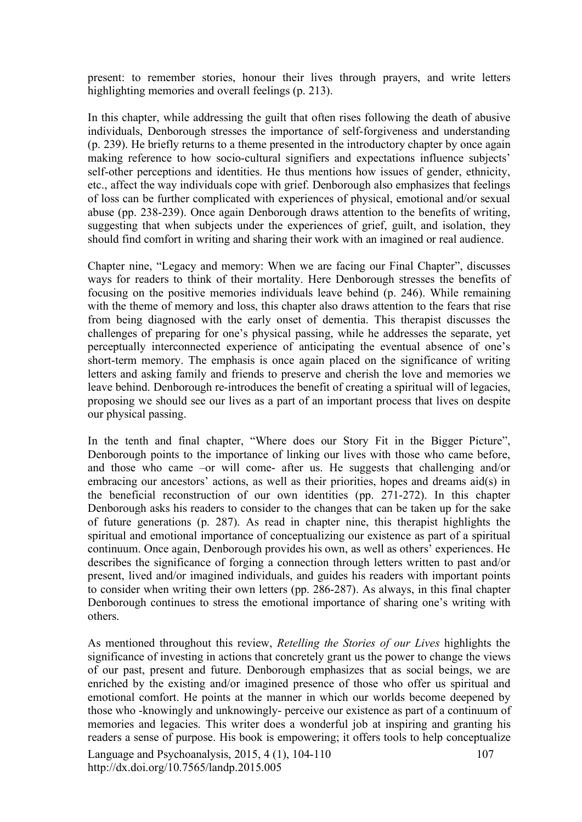present: to remember stories, honour their lives through prayers, and write letters highlighting memories and overall feelings (p. 213).

In this chapter, while addressing the guilt that often rises following the death of abusive individuals, Denborough stresses the importance of self-forgiveness and understanding (p. 239). He briefly returns to a theme presented in the introductory chapter by once again making reference to how socio-cultural signifiers and expectations influence subjects' self-other perceptions and identities. He thus mentions how issues of gender, ethnicity, etc., affect the way individuals cope with grief. Denborough also emphasizes that feelings of loss can be further complicated with experiences of physical, emotional and/or sexual abuse (pp. 238-239). Once again Denborough draws attention to the benefits of writing, suggesting that when subjects under the experiences of grief, guilt, and isolation, they should find comfort in writing and sharing their work with an imagined or real audience.

Chapter nine, "Legacy and memory: When we are facing our Final Chapter", discusses ways for readers to think of their mortality. Here Denborough stresses the benefits of focusing on the positive memories individuals leave behind (p. 246). While remaining with the theme of memory and loss, this chapter also draws attention to the fears that rise from being diagnosed with the early onset of dementia. This therapist discusses the challenges of preparing for one's physical passing, while he addresses the separate, yet perceptually interconnected experience of anticipating the eventual absence of one's short-term memory. The emphasis is once again placed on the significance of writing letters and asking family and friends to preserve and cherish the love and memories we leave behind. Denborough re-introduces the benefit of creating a spiritual will of legacies, proposing we should see our lives as a part of an important process that lives on despite our physical passing.

In the tenth and final chapter, "Where does our Story Fit in the Bigger Picture", Denborough points to the importance of linking our lives with those who came before, and those who came –or will come- after us. He suggests that challenging and/or embracing our ancestors' actions, as well as their priorities, hopes and dreams aid(s) in the beneficial reconstruction of our own identities (pp. 271-272). In this chapter Denborough asks his readers to consider to the changes that can be taken up for the sake of future generations (p. 287). As read in chapter nine, this therapist highlights the spiritual and emotional importance of conceptualizing our existence as part of a spiritual continuum. Once again, Denborough provides his own, as well as others' experiences. He describes the significance of forging a connection through letters written to past and/or present, lived and/or imagined individuals, and guides his readers with important points to consider when writing their own letters (pp. 286-287). As always, in this final chapter Denborough continues to stress the emotional importance of sharing one's writing with others.

Language and Psychoanalysis, 2015, 4 (1), 104-110 http://dx.doi.org/10.7565/landp.2015.005 107 As mentioned throughout this review, *Retelling the Stories of our Lives* highlights the significance of investing in actions that concretely grant us the power to change the views of our past, present and future. Denborough emphasizes that as social beings, we are enriched by the existing and/or imagined presence of those who offer us spiritual and emotional comfort. He points at the manner in which our worlds become deepened by those who -knowingly and unknowingly- perceive our existence as part of a continuum of memories and legacies. This writer does a wonderful job at inspiring and granting his readers a sense of purpose. His book is empowering; it offers tools to help conceptualize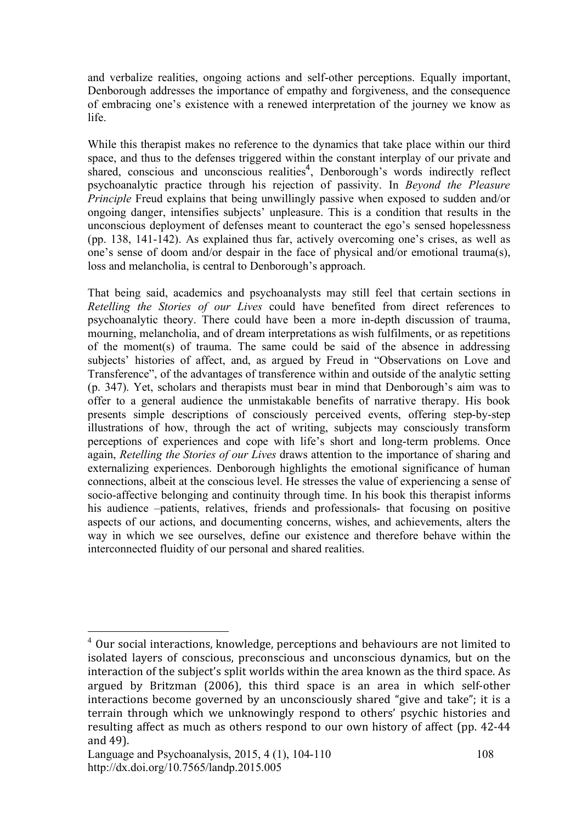and verbalize realities, ongoing actions and self-other perceptions. Equally important, Denborough addresses the importance of empathy and forgiveness, and the consequence of embracing one's existence with a renewed interpretation of the journey we know as life.

While this therapist makes no reference to the dynamics that take place within our third space, and thus to the defenses triggered within the constant interplay of our private and shared, conscious and unconscious realities<sup>4</sup>, Denborough's words indirectly reflect psychoanalytic practice through his rejection of passivity. In *Beyond the Pleasure Principle* Freud explains that being unwillingly passive when exposed to sudden and/or ongoing danger, intensifies subjects' unpleasure. This is a condition that results in the unconscious deployment of defenses meant to counteract the ego's sensed hopelessness (pp. 138, 141-142). As explained thus far, actively overcoming one's crises, as well as one's sense of doom and/or despair in the face of physical and/or emotional trauma(s), loss and melancholia, is central to Denborough's approach.

That being said, academics and psychoanalysts may still feel that certain sections in *Retelling the Stories of our Lives* could have benefited from direct references to psychoanalytic theory. There could have been a more in-depth discussion of trauma, mourning, melancholia, and of dream interpretations as wish fulfilments, or as repetitions of the moment(s) of trauma. The same could be said of the absence in addressing subjects' histories of affect, and, as argued by Freud in "Observations on Love and Transference", of the advantages of transference within and outside of the analytic setting (p. 347). Yet, scholars and therapists must bear in mind that Denborough's aim was to offer to a general audience the unmistakable benefits of narrative therapy. His book presents simple descriptions of consciously perceived events, offering step-by-step illustrations of how, through the act of writing, subjects may consciously transform perceptions of experiences and cope with life's short and long-term problems. Once again, *Retelling the Stories of our Lives* draws attention to the importance of sharing and externalizing experiences. Denborough highlights the emotional significance of human connections, albeit at the conscious level. He stresses the value of experiencing a sense of socio-affective belonging and continuity through time. In his book this therapist informs his audience –patients, relatives, friends and professionals- that focusing on positive aspects of our actions, and documenting concerns, wishes, and achievements, alters the way in which we see ourselves, define our existence and therefore behave within the interconnected fluidity of our personal and shared realities.

 <sup>4</sup> Our
social
interactions,
knowledge,
perceptions
and
behaviours
are
not
limited
to isolated layers of conscious, preconscious and unconscious dynamics, but on the interaction of the subject's split worlds within the area known as the third space. As argued
 by
 Britzman
 (2006),
 this third
 space
 is
 an
 area
 in
 which
 self‐other interactions become governed by an unconsciously shared "give and take"; it is a terrain through which we unknowingly respond to others' psychic histories and resulting affect as much as others respond to our own history of affect (pp. 42-44 and
49).

Language and Psychoanalysis, 2015, 4 (1), 104-110 http://dx.doi.org/10.7565/landp.2015.005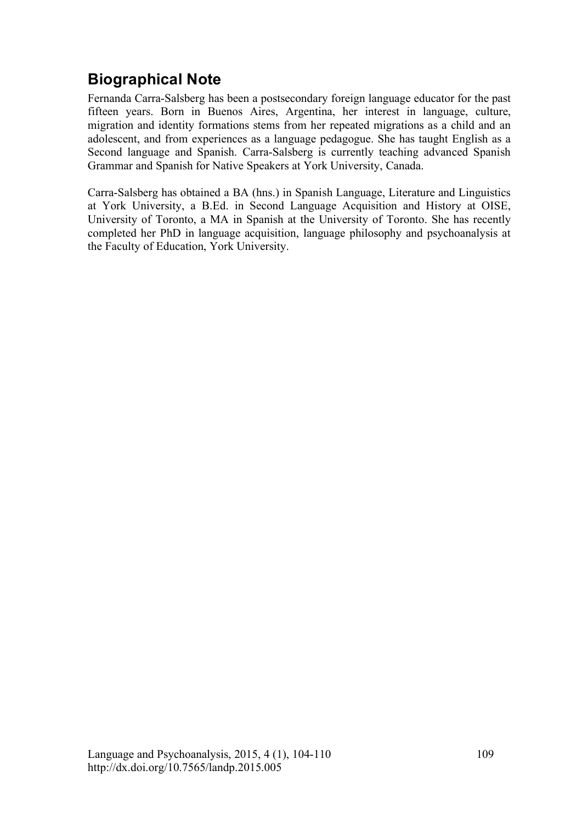## **Biographical Note**

Fernanda Carra-Salsberg has been a postsecondary foreign language educator for the past fifteen years. Born in Buenos Aires, Argentina, her interest in language, culture, migration and identity formations stems from her repeated migrations as a child and an adolescent, and from experiences as a language pedagogue. She has taught English as a Second language and Spanish. Carra-Salsberg is currently teaching advanced Spanish Grammar and Spanish for Native Speakers at York University, Canada.

Carra-Salsberg has obtained a BA (hns.) in Spanish Language, Literature and Linguistics at York University, a B.Ed. in Second Language Acquisition and History at OISE, University of Toronto, a MA in Spanish at the University of Toronto. She has recently completed her PhD in language acquisition, language philosophy and psychoanalysis at the Faculty of Education, York University.